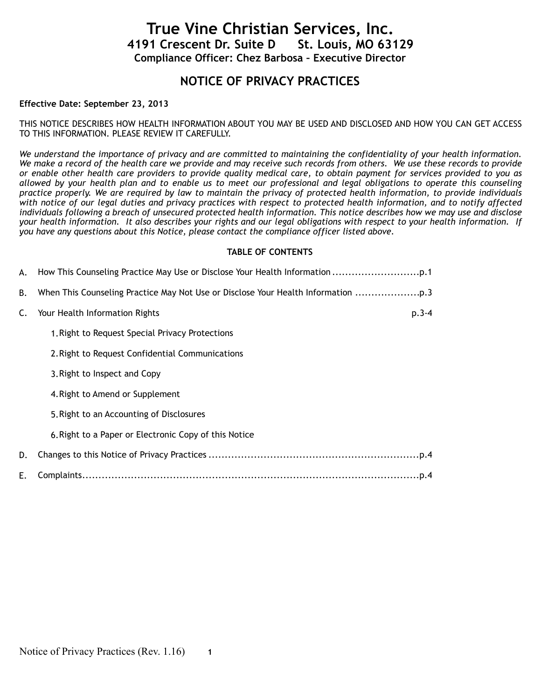# **True Vine Christian Services, Inc. 4191 Crescent Dr. Suite D Compliance Officer: Chez Barbosa – Executive Director**

# **NOTICE OF PRIVACY PRACTICES**

# **Effective Date: September 23, 2013**

THIS NOTICE DESCRIBES HOW HEALTH INFORMATION ABOUT YOU MAY BE USED AND DISCLOSED AND HOW YOU CAN GET ACCESS TO THIS INFORMATION. PLEASE REVIEW IT CAREFULLY.

*We understand the importance of privacy and are committed to maintaining the confidentiality of your health information. We make a record of the health care we provide and may receive such records from others. We use these records to provide or enable other health care providers to provide quality medical care, to obtain payment for services provided to you as allowed by your health plan and to enable us to meet our professional and legal obligations to operate this counseling practice properly. We are required by law to maintain the privacy of protected health information, to provide individuals with notice of our legal duties and privacy practices with respect to protected health information, and to notify affected individuals following a breach of unsecured protected health information. This notice describes how we may use and disclose your health information. It also describes your rights and our legal obligations with respect to your health information. If you have any questions about this Notice, please contact the compliance officer listed above.* 

### **TABLE OF CONTENTS**

|    | A. How This Counseling Practice May Use or Disclose Your Health Information   |
|----|-------------------------------------------------------------------------------|
| В. | When This Counseling Practice May Not Use or Disclose Your Health Information |
| C. | Your Health Information Rights<br>$p.3 - 4$                                   |
|    | 1. Right to Request Special Privacy Protections                               |
|    | 2. Right to Request Confidential Communications                               |
|    | 3. Right to Inspect and Copy                                                  |
|    | 4. Right to Amend or Supplement                                               |
|    | 5. Right to an Accounting of Disclosures                                      |
|    | 6. Right to a Paper or Electronic Copy of this Notice                         |
| D. |                                                                               |
| Е. |                                                                               |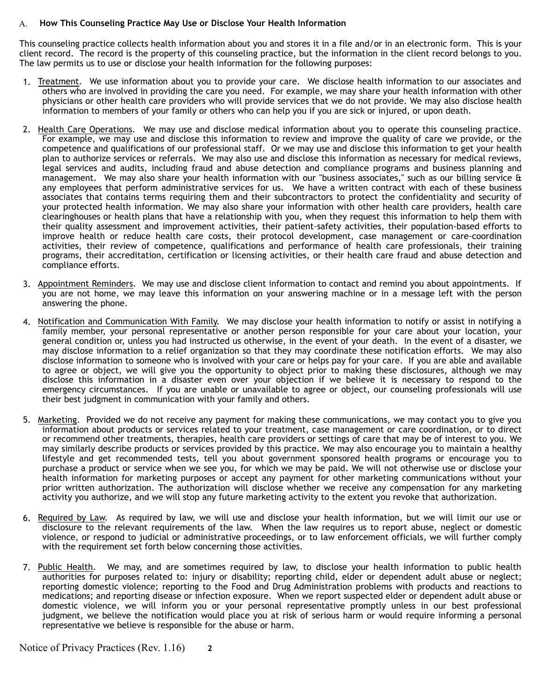# A. **How This Counseling Practice May Use or Disclose Your Health Information**

This counseling practice collects health information about you and stores it in a file and/or in an electronic form. This is your client record. The record is the property of this counseling practice, but the information in the client record belongs to you. The law permits us to use or disclose your health information for the following purposes:

- 1. Treatment. We use information about you to provide your care. We disclose health information to our associates and others who are involved in providing the care you need. For example, we may share your health information with other physicians or other health care providers who will provide services that we do not provide. We may also disclose health information to members of your family or others who can help you if you are sick or injured, or upon death.
- 2. Health Care Operations. We may use and disclose medical information about you to operate this counseling practice. For example, we may use and disclose this information to review and improve the quality of care we provide, or the competence and qualifications of our professional staff. Or we may use and disclose this information to get your health plan to authorize services or referrals. We may also use and disclose this information as necessary for medical reviews, legal services and audits, including fraud and abuse detection and compliance programs and business planning and management. We may also share your health information with our "business associates," such as our billing service & any employees that perform administrative services for us. We have a written contract with each of these business associates that contains terms requiring them and their subcontractors to protect the confidentiality and security of your protected health information. We may also share your information with other health care providers, health care clearinghouses or health plans that have a relationship with you, when they request this information to help them with their quality assessment and improvement activities, their patient-safety activities, their population-based efforts to improve health or reduce health care costs, their protocol development, case management or care-coordination activities, their review of competence, qualifications and performance of health care professionals, their training programs, their accreditation, certification or licensing activities, or their health care fraud and abuse detection and compliance efforts.
- 3. Appointment Reminders. We may use and disclose client information to contact and remind you about appointments. If you are not home, we may leave this information on your answering machine or in a message left with the person answering the phone.
- 4. Notification and Communication With Family. We may disclose your health information to notify or assist in notifying a family member, your personal representative or another person responsible for your care about your location, your general condition or, unless you had instructed us otherwise, in the event of your death. In the event of a disaster, we may disclose information to a relief organization so that they may coordinate these notification efforts. We may also disclose information to someone who is involved with your care or helps pay for your care. If you are able and available to agree or object, we will give you the opportunity to object prior to making these disclosures, although we may disclose this information in a disaster even over your objection if we believe it is necessary to respond to the emergency circumstances. If you are unable or unavailable to agree or object, our counseling professionals will use their best judgment in communication with your family and others.
- 5. Marketing. Provided we do not receive any payment for making these communications, we may contact you to give you information about products or services related to your treatment, case management or care coordination, or to direct or recommend other treatments, therapies, health care providers or settings of care that may be of interest to you. We may similarly describe products or services provided by this practice. We may also encourage you to maintain a healthy lifestyle and get recommended tests, tell you about government sponsored health programs or encourage you to purchase a product or service when we see you, for which we may be paid. We will not otherwise use or disclose your health information for marketing purposes or accept any payment for other marketing communications without your prior written authorization. The authorization will disclose whether we receive any compensation for any marketing activity you authorize, and we will stop any future marketing activity to the extent you revoke that authorization.
- 6. Required by Law. As required by law, we will use and disclose your health information, but we will limit our use or disclosure to the relevant requirements of the law. When the law requires us to report abuse, neglect or domestic violence, or respond to judicial or administrative proceedings, or to law enforcement officials, we will further comply with the requirement set forth below concerning those activities.
- 7. Public Health. We may, and are sometimes required by law, to disclose your health information to public health authorities for purposes related to: injury or disability; reporting child, elder or dependent adult abuse or neglect; reporting domestic violence; reporting to the Food and Drug Administration problems with products and reactions to medications; and reporting disease or infection exposure. When we report suspected elder or dependent adult abuse or domestic violence, we will inform you or your personal representative promptly unless in our best professional judgment, we believe the notification would place you at risk of serious harm or would require informing a personal representative we believe is responsible for the abuse or harm.

Notice of Privacy Practices (Rev. 1.16) **2**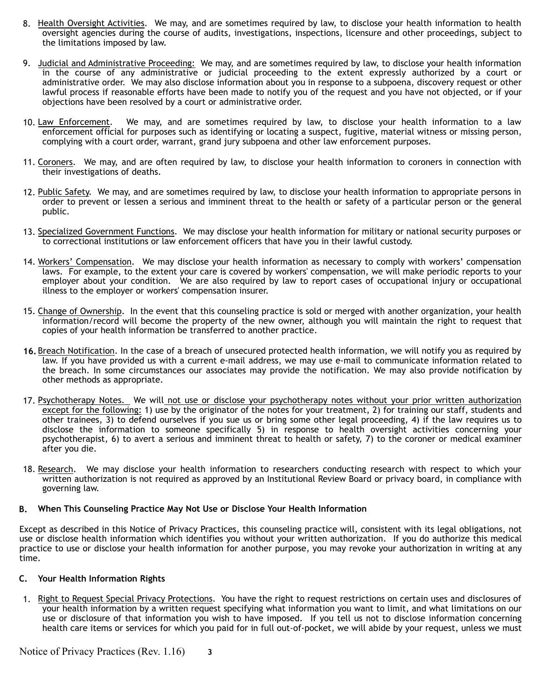- 8. Health Oversight Activities. We may, and are sometimes required by law, to disclose your health information to health oversight agencies during the course of audits, investigations, inspections, licensure and other proceedings, subject to the limitations imposed by law.
- 9. Judicial and Administrative Proceeding: We may, and are sometimes required by law, to disclose your health information in the course of any administrative or judicial proceeding to the extent expressly authorized by a court or administrative order. We may also disclose information about you in response to a subpoena, discovery request or other lawful process if reasonable efforts have been made to notify you of the request and you have not objected, or if your objections have been resolved by a court or administrative order.
- 10. Law Enforcement. We may, and are sometimes required by law, to disclose your health information to a law enforcement official for purposes such as identifying or locating a suspect, fugitive, material witness or missing person, complying with a court order, warrant, grand jury subpoena and other law enforcement purposes.
- 11. Coroners. We may, and are often required by law, to disclose your health information to coroners in connection with their investigations of deaths.
- 12. Public Safety. We may, and are sometimes required by law, to disclose your health information to appropriate persons in order to prevent or lessen a serious and imminent threat to the health or safety of a particular person or the general public.
- 13. Specialized Government Functions. We may disclose your health information for military or national security purposes or to correctional institutions or law enforcement officers that have you in their lawful custody.
- 14. Workers' Compensation. We may disclose your health information as necessary to comply with workers' compensation laws. For example, to the extent your care is covered by workers' compensation, we will make periodic reports to your employer about your condition. We are also required by law to report cases of occupational injury or occupational illness to the employer or workers' compensation insurer.
- 15. Change of Ownership. In the event that this counseling practice is sold or merged with another organization, your health information/record will become the property of the new owner, although you will maintain the right to request that copies of your health information be transferred to another practice.
- **16.** Breach Notification. In the case of a breach of unsecured protected health information, we will notify you as required by law. If you have provided us with a current e-mail address, we may use e-mail to communicate information related to the breach. In some circumstances our associates may provide the notification. We may also provide notification by other methods as appropriate.
- 17. Psychotherapy Notes. We will not use or disclose your psychotherapy notes without your prior written authorization except for the following: 1) use by the originator of the notes for your treatment, 2) for training our staff, students and other trainees, 3) to defend ourselves if you sue us or bring some other legal proceeding, 4) if the law requires us to disclose the information to someone specifically 5) in response to health oversight activities concerning your psychotherapist, 6) to avert a serious and imminent threat to health or safety, 7) to the coroner or medical examiner after you die.
- 18. Research. We may disclose your health information to researchers conducting research with respect to which your written authorization is not required as approved by an Institutional Review Board or privacy board, in compliance with governing law.

#### **B. When This Counseling Practice May Not Use or Disclose Your Health Information**

Except as described in this Notice of Privacy Practices, this counseling practice will, consistent with its legal obligations, not use or disclose health information which identifies you without your written authorization. If you do authorize this medical practice to use or disclose your health information for another purpose, you may revoke your authorization in writing at any time.

# **C. Your Health Information Rights**

1. Right to Request Special Privacy Protections. You have the right to request restrictions on certain uses and disclosures of your health information by a written request specifying what information you want to limit, and what limitations on our use or disclosure of that information you wish to have imposed. If you tell us not to disclose information concerning health care items or services for which you paid for in full out-of-pocket, we will abide by your request, unless we must

Notice of Privacy Practices (Rev. 1.16) **3**